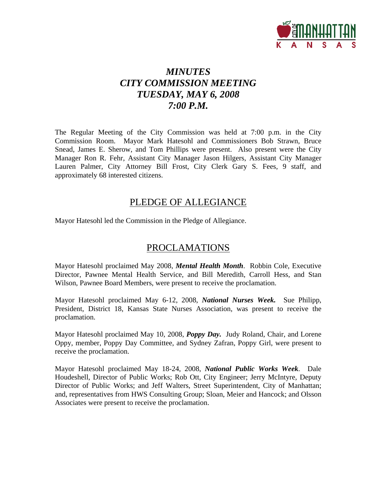

## *MINUTES CITY COMMISSION MEETING TUESDAY, MAY 6, 2008 7:00 P.M.*

The Regular Meeting of the City Commission was held at 7:00 p.m. in the City Commission Room. Mayor Mark Hatesohl and Commissioners Bob Strawn, Bruce Snead, James E. Sherow, and Tom Phillips were present. Also present were the City Manager Ron R. Fehr, Assistant City Manager Jason Hilgers, Assistant City Manager Lauren Palmer, City Attorney Bill Frost, City Clerk Gary S. Fees, 9 staff, and approximately 68 interested citizens.

## PLEDGE OF ALLEGIANCE

Mayor Hatesohl led the Commission in the Pledge of Allegiance.

## PROCLAMATIONS

Mayor Hatesohl proclaimed May 2008, *Mental Health Month*. Robbin Cole, Executive Director, Pawnee Mental Health Service, and Bill Meredith, Carroll Hess, and Stan Wilson, Pawnee Board Members, were present to receive the proclamation.

Mayor Hatesohl proclaimed May 6-12, 2008, *National Nurses Week.* Sue Philipp, President, District 18, Kansas State Nurses Association, was present to receive the proclamation.

Mayor Hatesohl proclaimed May 10, 2008, *Poppy Day.* Judy Roland, Chair, and Lorene Oppy, member, Poppy Day Committee, and Sydney Zafran, Poppy Girl, were present to receive the proclamation.

Mayor Hatesohl proclaimed May 18-24, 2008, *National Public Works Week*. Dale Houdeshell, Director of Public Works; Rob Ott, City Engineer; Jerry McIntyre, Deputy Director of Public Works; and Jeff Walters, Street Superintendent, City of Manhattan; and, representatives from HWS Consulting Group; Sloan, Meier and Hancock; and Olsson Associates were present to receive the proclamation.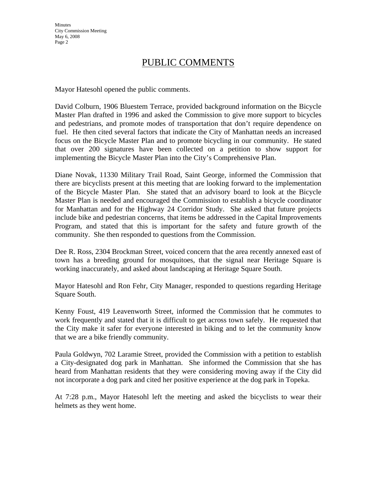## PUBLIC COMMENTS

Mayor Hatesohl opened the public comments.

David Colburn, 1906 Bluestem Terrace, provided background information on the Bicycle Master Plan drafted in 1996 and asked the Commission to give more support to bicycles and pedestrians, and promote modes of transportation that don't require dependence on fuel. He then cited several factors that indicate the City of Manhattan needs an increased focus on the Bicycle Master Plan and to promote bicycling in our community. He stated that over 200 signatures have been collected on a petition to show support for implementing the Bicycle Master Plan into the City's Comprehensive Plan.

Diane Novak, 11330 Military Trail Road, Saint George, informed the Commission that there are bicyclists present at this meeting that are looking forward to the implementation of the Bicycle Master Plan. She stated that an advisory board to look at the Bicycle Master Plan is needed and encouraged the Commission to establish a bicycle coordinator for Manhattan and for the Highway 24 Corridor Study. She asked that future projects include bike and pedestrian concerns, that items be addressed in the Capital Improvements Program, and stated that this is important for the safety and future growth of the community. She then responded to questions from the Commission.

Dee R. Ross, 2304 Brockman Street, voiced concern that the area recently annexed east of town has a breeding ground for mosquitoes, that the signal near Heritage Square is working inaccurately, and asked about landscaping at Heritage Square South.

Mayor Hatesohl and Ron Fehr, City Manager, responded to questions regarding Heritage Square South.

Kenny Foust, 419 Leavenworth Street, informed the Commission that he commutes to work frequently and stated that it is difficult to get across town safely. He requested that the City make it safer for everyone interested in biking and to let the community know that we are a bike friendly community.

Paula Goldwyn, 702 Laramie Street, provided the Commission with a petition to establish a City-designated dog park in Manhattan. She informed the Commission that she has heard from Manhattan residents that they were considering moving away if the City did not incorporate a dog park and cited her positive experience at the dog park in Topeka.

At 7:28 p.m., Mayor Hatesohl left the meeting and asked the bicyclists to wear their helmets as they went home.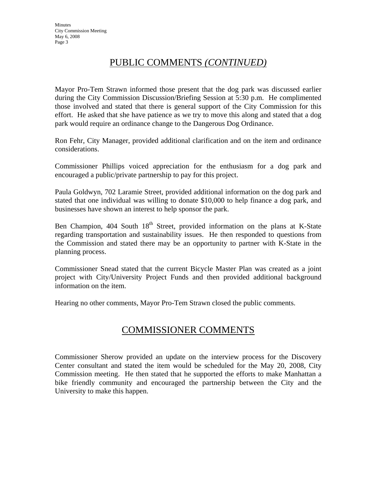## PUBLIC COMMENTS *(CONTINUED)*

Mayor Pro-Tem Strawn informed those present that the dog park was discussed earlier during the City Commission Discussion/Briefing Session at 5:30 p.m. He complimented those involved and stated that there is general support of the City Commission for this effort. He asked that she have patience as we try to move this along and stated that a dog park would require an ordinance change to the Dangerous Dog Ordinance.

Ron Fehr, City Manager, provided additional clarification and on the item and ordinance considerations.

Commissioner Phillips voiced appreciation for the enthusiasm for a dog park and encouraged a public/private partnership to pay for this project.

Paula Goldwyn, 702 Laramie Street, provided additional information on the dog park and stated that one individual was willing to donate \$10,000 to help finance a dog park, and businesses have shown an interest to help sponsor the park.

Ben Champion,  $404$  South  $18<sup>th</sup>$  Street, provided information on the plans at K-State regarding transportation and sustainability issues. He then responded to questions from the Commission and stated there may be an opportunity to partner with K-State in the planning process.

Commissioner Snead stated that the current Bicycle Master Plan was created as a joint project with City/University Project Funds and then provided additional background information on the item.

Hearing no other comments, Mayor Pro-Tem Strawn closed the public comments.

## COMMISSIONER COMMENTS

Commissioner Sherow provided an update on the interview process for the Discovery Center consultant and stated the item would be scheduled for the May 20, 2008, City Commission meeting. He then stated that he supported the efforts to make Manhattan a bike friendly community and encouraged the partnership between the City and the University to make this happen.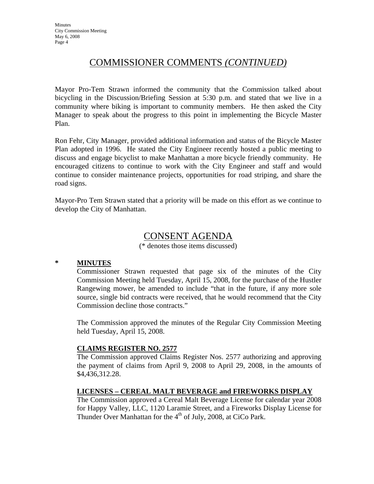## COMMISSIONER COMMENTS *(CONTINUED)*

Mayor Pro-Tem Strawn informed the community that the Commission talked about bicycling in the Discussion/Briefing Session at 5:30 p.m. and stated that we live in a community where biking is important to community members. He then asked the City Manager to speak about the progress to this point in implementing the Bicycle Master Plan.

Ron Fehr, City Manager, provided additional information and status of the Bicycle Master Plan adopted in 1996. He stated the City Engineer recently hosted a public meeting to discuss and engage bicyclist to make Manhattan a more bicycle friendly community. He encouraged citizens to continue to work with the City Engineer and staff and would continue to consider maintenance projects, opportunities for road striping, and share the road signs.

Mayor-Pro Tem Strawn stated that a priority will be made on this effort as we continue to develop the City of Manhattan.

## CONSENT AGENDA

(\* denotes those items discussed)

#### **\* MINUTES**

Commissioner Strawn requested that page six of the minutes of the City Commission Meeting held Tuesday, April 15, 2008, for the purchase of the Hustler Rangewing mower, be amended to include "that in the future, if any more sole source, single bid contracts were received, that he would recommend that the City Commission decline those contracts."

The Commission approved the minutes of the Regular City Commission Meeting held Tuesday, April 15, 2008.

#### **CLAIMS REGISTER NO. 2577**

The Commission approved Claims Register Nos. 2577 authorizing and approving the payment of claims from April 9, 2008 to April 29, 2008, in the amounts of \$4,436,312.28.

#### **LICENSES – CEREAL MALT BEVERAGE and FIREWORKS DISPLAY**

The Commission approved a Cereal Malt Beverage License for calendar year 2008 for Happy Valley, LLC, 1120 Laramie Street, and a Fireworks Display License for Thunder Over Manhattan for the 4<sup>th</sup> of July, 2008, at CiCo Park.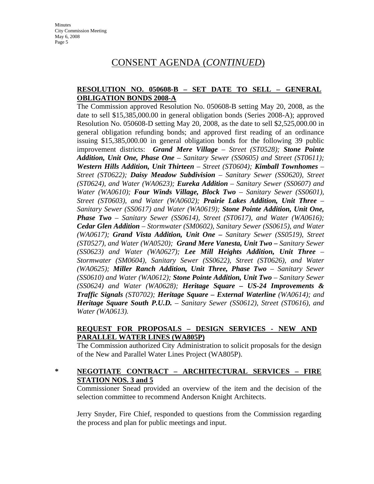## CONSENT AGENDA (*CONTINUED*)

#### **RESOLUTION NO. 050608-B – SET DATE TO SELL – GENERAL OBLIGATION BONDS 2008-A**

The Commission approved Resolution No. 050608-B setting May 20, 2008, as the date to sell \$15,385,000.00 in general obligation bonds (Series 2008-A); approved Resolution No. 050608-D setting May 20, 2008, as the date to sell \$2,525,000.00 in general obligation refunding bonds; and approved first reading of an ordinance issuing \$15,385,000.00 in general obligation bonds for the following 39 public improvement districts: *Grand Mere Village – Street (ST0528); Stone Pointe Addition, Unit One, Phase One – Sanitary Sewer (SS0605) and Street (ST0611); Western Hills Addition, Unit Thirteen – Street (ST0604); Kimball Townhomes – Street (ST0622); Daisy Meadow Subdivision – Sanitary Sewer (SS0620), Street (ST0624), and Water (WA0623); Eureka Addition – Sanitary Sewer (SS0607) and Water (WA0610); Four Winds Village, Block Two – Sanitary Sewer (SS0601), Street (ST0603), and Water (WA0602); Prairie Lakes Addition, Unit Three – Sanitary Sewer (SS0617) and Water (WA0619); Stone Pointe Addition, Unit One, Phase Two – Sanitary Sewer (SS0614), Street (ST0617), and Water (WA0616); Cedar Glen Addition – Stormwater (SM0602), Sanitary Sewer (SS0615), and Water (WA0617); Grand Vista Addition, Unit One – Sanitary Sewer (SS0519), Street (ST0527), and Water (WA0520); Grand Mere Vanesta, Unit Two – Sanitary Sewer (SS0623) and Water (WA0627); Lee Mill Heights Addition, Unit Three – Stormwater (SM0604), Sanitary Sewer (SS0622), Street (ST0626), and Water (WA0625); Miller Ranch Addition, Unit Three, Phase Two – Sanitary Sewer (SS0610) and Water (WA0612); Stone Pointe Addition, Unit Two – Sanitary Sewer (SS0624) and Water (WA0628); Heritage Square – US-24 Improvements & Traffic Signals (ST0702); Heritage Square – External Waterline (WA0614); and Heritage Square South P.U.D. – Sanitary Sewer (SS0612), Street (ST0616), and Water (WA0613).* 

#### **REQUEST FOR PROPOSALS – DESIGN SERVICES - NEW AND PARALLEL WATER LINES (WA805P)**

The Commission authorized City Administration to solicit proposals for the design of the New and Parallel Water Lines Project (WA805P).

#### **\* NEGOTIATE CONTRACT – ARCHITECTURAL SERVICES – FIRE STATION NOS. 3 and 5**

Commissioner Snead provided an overview of the item and the decision of the selection committee to recommend Anderson Knight Architects.

Jerry Snyder, Fire Chief, responded to questions from the Commission regarding the process and plan for public meetings and input.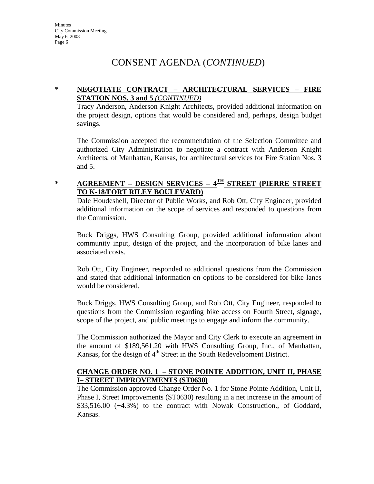## CONSENT AGENDA (*CONTINUED*)

### **\* NEGOTIATE CONTRACT – ARCHITECTURAL SERVICES – FIRE STATION NOS. 3 and 5** *(CONTINUED)*

Tracy Anderson, Anderson Knight Architects, provided additional information on the project design, options that would be considered and, perhaps, design budget savings.

The Commission accepted the recommendation of the Selection Committee and authorized City Administration to negotiate a contract with Anderson Knight Architects, of Manhattan, Kansas, for architectural services for Fire Station Nos. 3 and 5.

## **\* AGREEMENT – DESIGN SERVICES – 4TH STREET (PIERRE STREET TO K-18/FORT RILEY BOULEVARD)**

Dale Houdeshell, Director of Public Works, and Rob Ott, City Engineer, provided additional information on the scope of services and responded to questions from the Commission.

Buck Driggs, HWS Consulting Group, provided additional information about community input, design of the project, and the incorporation of bike lanes and associated costs.

Rob Ott, City Engineer, responded to additional questions from the Commission and stated that additional information on options to be considered for bike lanes would be considered.

Buck Driggs, HWS Consulting Group, and Rob Ott, City Engineer, responded to questions from the Commission regarding bike access on Fourth Street, signage, scope of the project, and public meetings to engage and inform the community.

The Commission authorized the Mayor and City Clerk to execute an agreement in the amount of \$189,561.20 with HWS Consulting Group, Inc., of Manhattan, Kansas, for the design of  $4<sup>th</sup>$  Street in the South Redevelopment District.

#### **CHANGE ORDER NO. 1 – STONE POINTE ADDITION, UNIT II, PHASE I– STREET IMPROVEMENTS (ST0630)**

The Commission approved Change Order No. 1 for Stone Pointe Addition, Unit II, Phase I, Street Improvements (ST0630) resulting in a net increase in the amount of \$33,516.00 (+4.3%) to the contract with Nowak Construction., of Goddard, Kansas.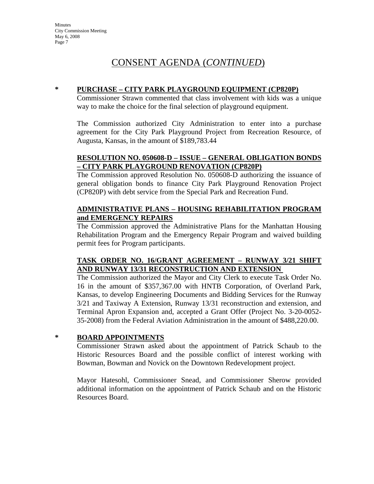## CONSENT AGENDA (*CONTINUED*)

#### **\* PURCHASE – CITY PARK PLAYGROUND EQUIPMENT (CP820P)**

Commissioner Strawn commented that class involvement with kids was a unique way to make the choice for the final selection of playground equipment.

The Commission authorized City Administration to enter into a purchase agreement for the City Park Playground Project from Recreation Resource, of Augusta, Kansas, in the amount of \$189,783.44

#### **RESOLUTION NO. 050608-D – ISSUE – GENERAL OBLIGATION BONDS – CITY PARK PLAYGROUND RENOVATION (CP820P)**

The Commission approved Resolution No. 050608-D authorizing the issuance of general obligation bonds to finance City Park Playground Renovation Project (CP820P) with debt service from the Special Park and Recreation Fund.

#### **ADMINISTRATIVE PLANS – HOUSING REHABILITATION PROGRAM and EMERGENCY REPAIRS**

The Commission approved the Administrative Plans for the Manhattan Housing Rehabilitation Program and the Emergency Repair Program and waived building permit fees for Program participants.

#### **TASK ORDER NO. 16/GRANT AGREEMENT – RUNWAY 3/21 SHIFT AND RUNWAY 13/31 RECONSTRUCTION AND EXTENSION**

The Commission authorized the Mayor and City Clerk to execute Task Order No. 16 in the amount of \$357,367.00 with HNTB Corporation, of Overland Park, Kansas, to develop Engineering Documents and Bidding Services for the Runway 3/21 and Taxiway A Extension, Runway 13/31 reconstruction and extension, and Terminal Apron Expansion and, accepted a Grant Offer (Project No. 3-20-0052- 35-2008) from the Federal Aviation Administration in the amount of \$488,220.00.

#### **\* BOARD APPOINTMENTS**

Commissioner Strawn asked about the appointment of Patrick Schaub to the Historic Resources Board and the possible conflict of interest working with Bowman, Bowman and Novick on the Downtown Redevelopment project.

Mayor Hatesohl, Commissioner Snead, and Commissioner Sherow provided additional information on the appointment of Patrick Schaub and on the Historic Resources Board.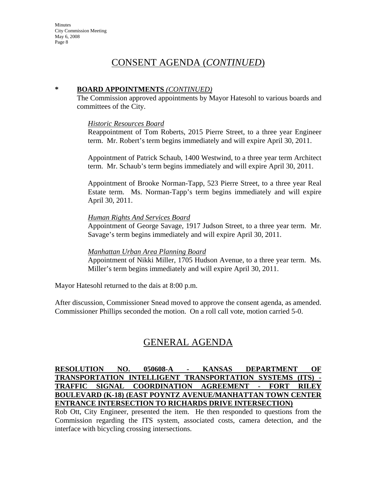## CONSENT AGENDA (*CONTINUED*)

#### **\* BOARD APPOINTMENTS** *(CONTINUED)*

The Commission approved appointments by Mayor Hatesohl to various boards and committees of the City.

#### *Historic Resources Board*

Reappointment of Tom Roberts, 2015 Pierre Street, to a three year Engineer term. Mr. Robert's term begins immediately and will expire April 30, 2011.

Appointment of Patrick Schaub, 1400 Westwind, to a three year term Architect term. Mr. Schaub's term begins immediately and will expire April 30, 2011.

Appointment of Brooke Norman-Tapp, 523 Pierre Street, to a three year Real Estate term. Ms. Norman-Tapp's term begins immediately and will expire April 30, 2011.

#### *Human Rights And Services Board*

Appointment of George Savage, 1917 Judson Street, to a three year term. Mr. Savage's term begins immediately and will expire April 30, 2011.

#### *Manhattan Urban Area Planning Board*

Appointment of Nikki Miller, 1705 Hudson Avenue, to a three year term. Ms. Miller's term begins immediately and will expire April 30, 2011.

Mayor Hatesohl returned to the dais at 8:00 p.m.

After discussion, Commissioner Snead moved to approve the consent agenda, as amended. Commissioner Phillips seconded the motion. On a roll call vote, motion carried 5-0.

## GENERAL AGENDA

#### **RESOLUTION NO. 050608-A - KANSAS DEPARTMENT OF TRANSPORTATION INTELLIGENT TRANSPORTATION SYSTEMS (ITS) - TRAFFIC SIGNAL COORDINATION AGREEMENT - FORT RILEY BOULEVARD (K-18) (EAST POYNTZ AVENUE/MANHATTAN TOWN CENTER ENTRANCE INTERSECTION TO RICHARDS DRIVE INTERSECTION)**

Rob Ott, City Engineer, presented the item. He then responded to questions from the Commission regarding the ITS system, associated costs, camera detection, and the interface with bicycling crossing intersections.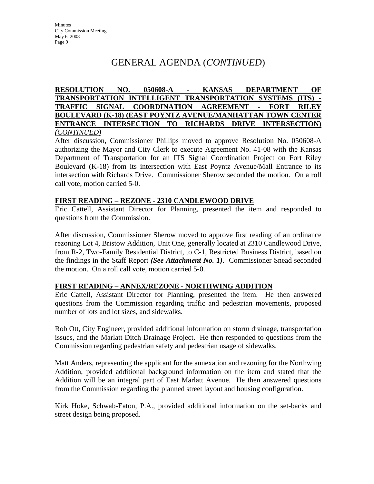## GENERAL AGENDA (*CONTINUED*)

**RESOLUTION NO. 050608-A - KANSAS DEPARTMENT OF TRANSPORTATION INTELLIGENT TRANSPORTATION SYSTEMS (ITS) - TRAFFIC SIGNAL COORDINATION AGREEMENT - FORT RILEY BOULEVARD (K-18) (EAST POYNTZ AVENUE/MANHATTAN TOWN CENTER ENTRANCE INTERSECTION TO RICHARDS DRIVE INTERSECTION)** *(CONTINUED)*

After discussion, Commissioner Phillips moved to approve Resolution No. 050608-A authorizing the Mayor and City Clerk to execute Agreement No. 41-08 with the Kansas Department of Transportation for an ITS Signal Coordination Project on Fort Riley Boulevard (K-18) from its intersection with East Poyntz Avenue/Mall Entrance to its intersection with Richards Drive. Commissioner Sherow seconded the motion. On a roll call vote, motion carried 5-0.

#### **FIRST READING – REZONE - 2310 CANDLEWOOD DRIVE**

Eric Cattell, Assistant Director for Planning, presented the item and responded to questions from the Commission.

After discussion, Commissioner Sherow moved to approve first reading of an ordinance rezoning Lot 4, Bristow Addition, Unit One, generally located at 2310 Candlewood Drive, from R-2, Two-Family Residential District, to C-1, Restricted Business District, based on the findings in the Staff Report *(See Attachment No. 1)*. Commissioner Snead seconded the motion. On a roll call vote, motion carried 5-0.

#### **FIRST READING – ANNEX/REZONE - NORTHWING ADDITION**

Eric Cattell, Assistant Director for Planning, presented the item. He then answered questions from the Commission regarding traffic and pedestrian movements, proposed number of lots and lot sizes, and sidewalks.

Rob Ott, City Engineer, provided additional information on storm drainage, transportation issues, and the Marlatt Ditch Drainage Project. He then responded to questions from the Commission regarding pedestrian safety and pedestrian usage of sidewalks.

Matt Anders, representing the applicant for the annexation and rezoning for the Northwing Addition, provided additional background information on the item and stated that the Addition will be an integral part of East Marlatt Avenue. He then answered questions from the Commission regarding the planned street layout and housing configuration.

Kirk Hoke, Schwab-Eaton, P.A., provided additional information on the set-backs and street design being proposed.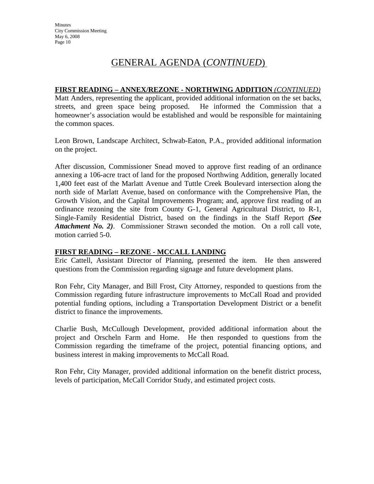## GENERAL AGENDA (*CONTINUED*)

#### **FIRST READING – ANNEX/REZONE - NORTHWING ADDITION** *(CONTINUED)*

Matt Anders, representing the applicant, provided additional information on the set backs, streets, and green space being proposed. He informed the Commission that a homeowner's association would be established and would be responsible for maintaining the common spaces.

Leon Brown, Landscape Architect, Schwab-Eaton, P.A., provided additional information on the project.

After discussion, Commissioner Snead moved to approve first reading of an ordinance annexing a 106-acre tract of land for the proposed Northwing Addition, generally located 1,400 feet east of the Marlatt Avenue and Tuttle Creek Boulevard intersection along the north side of Marlatt Avenue, based on conformance with the Comprehensive Plan, the Growth Vision, and the Capital Improvements Program; and, approve first reading of an ordinance rezoning the site from County G-1, General Agricultural District, to R-1, Single-Family Residential District, based on the findings in the Staff Report *(See Attachment No. 2)*. Commissioner Strawn seconded the motion. On a roll call vote, motion carried 5-0.

#### **FIRST READING – REZONE - MCCALL LANDING**

Eric Cattell, Assistant Director of Planning, presented the item. He then answered questions from the Commission regarding signage and future development plans.

Ron Fehr, City Manager, and Bill Frost, City Attorney, responded to questions from the Commission regarding future infrastructure improvements to McCall Road and provided potential funding options, including a Transportation Development District or a benefit district to finance the improvements.

Charlie Bush, McCullough Development, provided additional information about the project and Orscheln Farm and Home. He then responded to questions from the Commission regarding the timeframe of the project, potential financing options, and business interest in making improvements to McCall Road.

Ron Fehr, City Manager, provided additional information on the benefit district process, levels of participation, McCall Corridor Study, and estimated project costs.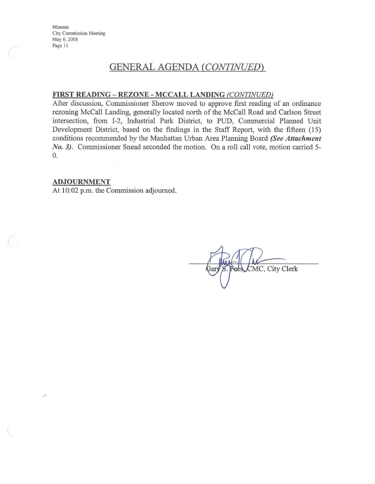## **GENERAL AGENDA (CONTINUED)**

#### FIRST READING - REZONE - MCCALL LANDING (CONTINUED)

After discussion, Commissioner Sherow moved to approve first reading of an ordinance rezoning McCall Landing, generally located north of the McCall Road and Carlson Street intersection, from I-2, Industrial Park District, to PUD, Commercial Planned Unit Development District, based on the findings in the Staff Report, with the fifteen (15) conditions recommended by the Manhattan Urban Area Planning Board (See Attachment *No. 3).* Commissioner Snead seconded the motion. On a roll call vote, motion carried 5- $\overline{0}$ .

#### **ADJOURNMENT**

At 10:02 p.m. the Commission adjourned.

 $\overline{\omega}$  .

CMC, City Clerk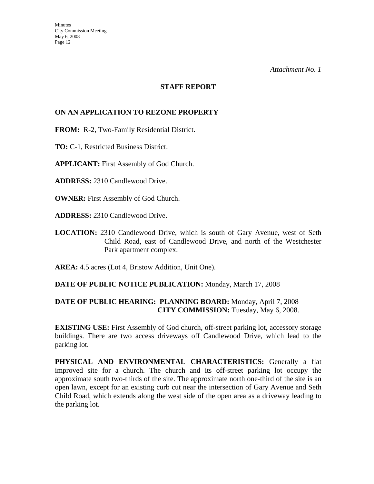#### **STAFF REPORT**

#### **ON AN APPLICATION TO REZONE PROPERTY**

**FROM:** R-2, Two-Family Residential District.

**TO:** C-1, Restricted Business District.

**APPLICANT:** First Assembly of God Church.

**ADDRESS:** 2310 Candlewood Drive.

**OWNER:** First Assembly of God Church.

**ADDRESS:** 2310 Candlewood Drive.

**LOCATION:** 2310 Candlewood Drive, which is south of Gary Avenue, west of Seth Child Road, east of Candlewood Drive, and north of the Westchester Park apartment complex.

**AREA:** 4.5 acres (Lot 4, Bristow Addition, Unit One).

#### **DATE OF PUBLIC NOTICE PUBLICATION:** Monday, March 17, 2008

#### **DATE OF PUBLIC HEARING: PLANNING BOARD:** Monday, April 7, 2008 **CITY COMMISSION:** Tuesday, May 6, 2008.

**EXISTING USE:** First Assembly of God church, off-street parking lot, accessory storage buildings. There are two access driveways off Candlewood Drive, which lead to the parking lot.

**PHYSICAL AND ENVIRONMENTAL CHARACTERISTICS:** Generally a flat improved site for a church. The church and its off-street parking lot occupy the approximate south two-thirds of the site. The approximate north one-third of the site is an open lawn, except for an existing curb cut near the intersection of Gary Avenue and Seth Child Road, which extends along the west side of the open area as a driveway leading to the parking lot.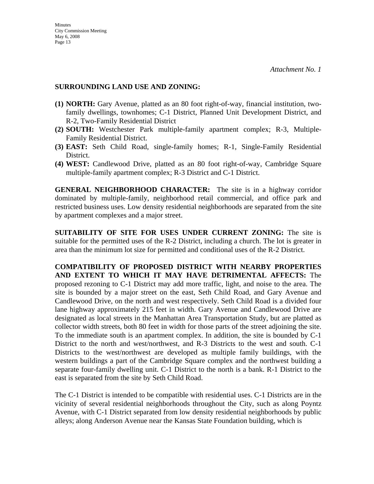#### **SURROUNDING LAND USE AND ZONING:**

- **(1) NORTH:** Gary Avenue, platted as an 80 foot right-of-way, financial institution, twofamily dwellings, townhomes; C-1 District, Planned Unit Development District, and R-2, Two-Family Residential District
- **(2) SOUTH:** Westchester Park multiple-family apartment complex; R-3, Multiple-Family Residential District.
- **(3) EAST:** Seth Child Road, single-family homes; R-1, Single-Family Residential District.
- **(4) WEST:** Candlewood Drive, platted as an 80 foot right-of-way, Cambridge Square multiple-family apartment complex; R-3 District and C-1 District.

**GENERAL NEIGHBORHOOD CHARACTER:** The site is in a highway corridor dominated by multiple-family, neighborhood retail commercial, and office park and restricted business uses. Low density residential neighborhoods are separated from the site by apartment complexes and a major street.

**SUITABILITY OF SITE FOR USES UNDER CURRENT ZONING:** The site is suitable for the permitted uses of the R-2 District, including a church. The lot is greater in area than the minimum lot size for permitted and conditional uses of the R-2 District.

**COMPATIBILITY OF PROPOSED DISTRICT WITH NEARBY PROPERTIES AND EXTENT TO WHICH IT MAY HAVE DETRIMENTAL AFFECTS:** The proposed rezoning to C-1 District may add more traffic, light, and noise to the area. The site is bounded by a major street on the east, Seth Child Road, and Gary Avenue and Candlewood Drive, on the north and west respectively. Seth Child Road is a divided four lane highway approximately 215 feet in width. Gary Avenue and Candlewood Drive are designated as local streets in the Manhattan Area Transportation Study, but are platted as collector width streets, both 80 feet in width for those parts of the street adjoining the site. To the immediate south is an apartment complex. In addition, the site is bounded by C-1 District to the north and west/northwest, and R-3 Districts to the west and south. C-1 Districts to the west/northwest are developed as multiple family buildings, with the western buildings a part of the Cambridge Square complex and the northwest building a separate four-family dwelling unit. C-1 District to the north is a bank. R-1 District to the east is separated from the site by Seth Child Road.

The C-1 District is intended to be compatible with residential uses. C-1 Districts are in the vicinity of several residential neighborhoods throughout the City, such as along Poyntz Avenue, with C-1 District separated from low density residential neighborhoods by public alleys; along Anderson Avenue near the Kansas State Foundation building, which is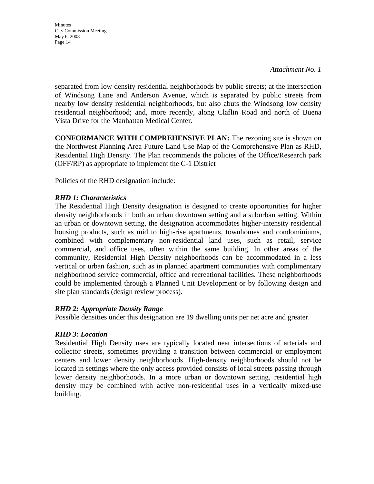*Attachment No. 1* 

separated from low density residential neighborhoods by public streets; at the intersection of Windsong Lane and Anderson Avenue, which is separated by public streets from nearby low density residential neighborhoods, but also abuts the Windsong low density residential neighborhood; and, more recently, along Claflin Road and north of Buena Vista Drive for the Manhattan Medical Center.

**CONFORMANCE WITH COMPREHENSIVE PLAN:** The rezoning site is shown on the Northwest Planning Area Future Land Use Map of the Comprehensive Plan as RHD, Residential High Density. The Plan recommends the policies of the Office/Research park (OFF/RP) as appropriate to implement the C-1 District

Policies of the RHD designation include:

#### *RHD 1: Characteristics*

The Residential High Density designation is designed to create opportunities for higher density neighborhoods in both an urban downtown setting and a suburban setting. Within an urban or downtown setting, the designation accommodates higher-intensity residential housing products, such as mid to high-rise apartments, townhomes and condominiums, combined with complementary non-residential land uses, such as retail, service commercial, and office uses, often within the same building. In other areas of the community, Residential High Density neighborhoods can be accommodated in a less vertical or urban fashion, such as in planned apartment communities with complimentary neighborhood service commercial, office and recreational facilities. These neighborhoods could be implemented through a Planned Unit Development or by following design and site plan standards (design review process).

#### *RHD 2: Appropriate Density Range*

Possible densities under this designation are 19 dwelling units per net acre and greater.

#### *RHD 3: Location*

Residential High Density uses are typically located near intersections of arterials and collector streets, sometimes providing a transition between commercial or employment centers and lower density neighborhoods. High-density neighborhoods should not be located in settings where the only access provided consists of local streets passing through lower density neighborhoods. In a more urban or downtown setting, residential high density may be combined with active non-residential uses in a vertically mixed-use building.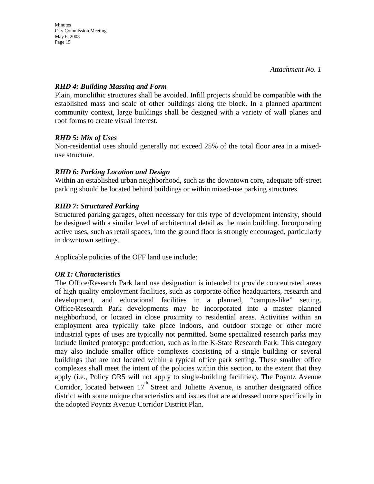#### *RHD 4: Building Massing and Form*

Plain, monolithic structures shall be avoided. Infill projects should be compatible with the established mass and scale of other buildings along the block. In a planned apartment community context, large buildings shall be designed with a variety of wall planes and roof forms to create visual interest.

### *RHD 5: Mix of Uses*

Non-residential uses should generally not exceed 25% of the total floor area in a mixeduse structure.

### *RHD 6: Parking Location and Design*

Within an established urban neighborhood, such as the downtown core, adequate off-street parking should be located behind buildings or within mixed-use parking structures.

### *RHD 7: Structured Parking*

Structured parking garages, often necessary for this type of development intensity, should be designed with a similar level of architectural detail as the main building. Incorporating active uses, such as retail spaces, into the ground floor is strongly encouraged, particularly in downtown settings.

Applicable policies of the OFF land use include:

#### *OR 1: Characteristics*

The Office/Research Park land use designation is intended to provide concentrated areas of high quality employment facilities, such as corporate office headquarters, research and development, and educational facilities in a planned, "campus-like" setting. Office/Research Park developments may be incorporated into a master planned neighborhood, or located in close proximity to residential areas. Activities within an employment area typically take place indoors, and outdoor storage or other more industrial types of uses are typically not permitted. Some specialized research parks may include limited prototype production, such as in the K-State Research Park. This category may also include smaller office complexes consisting of a single building or several buildings that are not located within a typical office park setting. These smaller office complexes shall meet the intent of the policies within this section, to the extent that they apply (i.e., Policy OR5 will not apply to single-building facilities). The Poyntz Avenue Corridor, located between  $17<sup>th</sup>$  Street and Juliette Avenue, is another designated office district with some unique characteristics and issues that are addressed more specifically in the adopted Poyntz Avenue Corridor District Plan.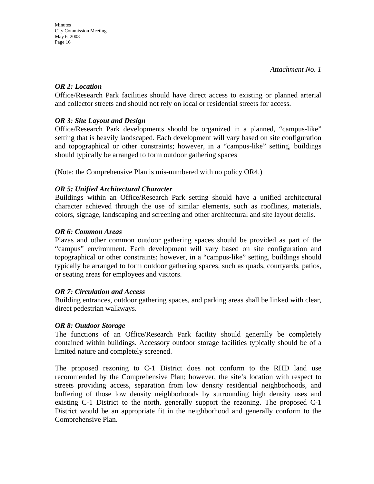#### *OR 2: Location*

Office/Research Park facilities should have direct access to existing or planned arterial and collector streets and should not rely on local or residential streets for access.

#### *OR 3: Site Layout and Design*

Office/Research Park developments should be organized in a planned, "campus-like" setting that is heavily landscaped. Each development will vary based on site configuration and topographical or other constraints; however, in a "campus-like" setting, buildings should typically be arranged to form outdoor gathering spaces

(Note: the Comprehensive Plan is mis-numbered with no policy OR4.)

#### *OR 5: Unified Architectural Character*

Buildings within an Office/Research Park setting should have a unified architectural character achieved through the use of similar elements, such as rooflines, materials, colors, signage, landscaping and screening and other architectural and site layout details.

#### *OR 6: Common Areas*

Plazas and other common outdoor gathering spaces should be provided as part of the "campus" environment. Each development will vary based on site configuration and topographical or other constraints; however, in a "campus-like" setting, buildings should typically be arranged to form outdoor gathering spaces, such as quads, courtyards, patios, or seating areas for employees and visitors.

#### *OR 7: Circulation and Access*

Building entrances, outdoor gathering spaces, and parking areas shall be linked with clear, direct pedestrian walkways.

#### *OR 8: Outdoor Storage*

The functions of an Office/Research Park facility should generally be completely contained within buildings. Accessory outdoor storage facilities typically should be of a limited nature and completely screened.

The proposed rezoning to C-1 District does not conform to the RHD land use recommended by the Comprehensive Plan; however, the site's location with respect to streets providing access, separation from low density residential neighborhoods, and buffering of those low density neighborhoods by surrounding high density uses and existing C-1 District to the north, generally support the rezoning. The proposed C-1 District would be an appropriate fit in the neighborhood and generally conform to the Comprehensive Plan.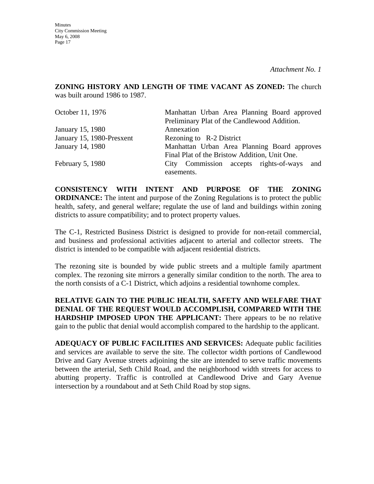**Minutes** City Commission Meeting May 6, 2008 Page 17

**ZONING HISTORY AND LENGTH OF TIME VACANT AS ZONED:** The church was built around 1986 to 1987.

| October 11, 1976          | Manhattan Urban Area Planning Board approved  |  |  |
|---------------------------|-----------------------------------------------|--|--|
|                           | Preliminary Plat of the Candlewood Addition.  |  |  |
| January 15, 1980          | Annexation                                    |  |  |
| January 15, 1980-Presxent | Rezoning to R-2 District                      |  |  |
| January 14, 1980          | Manhattan Urban Area Planning Board approves  |  |  |
|                           | Final Plat of the Bristow Addition, Unit One. |  |  |
| February 5, 1980          | City Commission accepts rights-of-ways and    |  |  |
|                           | easements.                                    |  |  |

**CONSISTENCY WITH INTENT AND PURPOSE OF THE ZONING ORDINANCE:** The intent and purpose of the Zoning Regulations is to protect the public health, safety, and general welfare; regulate the use of land and buildings within zoning districts to assure compatibility; and to protect property values.

The C-1, Restricted Business District is designed to provide for non-retail commercial, and business and professional activities adjacent to arterial and collector streets. The district is intended to be compatible with adjacent residential districts.

The rezoning site is bounded by wide public streets and a multiple family apartment complex. The rezoning site mirrors a generally similar condition to the north. The area to the north consists of a C-1 District, which adjoins a residential townhome complex.

**RELATIVE GAIN TO THE PUBLIC HEALTH, SAFETY AND WELFARE THAT DENIAL OF THE REQUEST WOULD ACCOMPLISH, COMPARED WITH THE HARDSHIP IMPOSED UPON THE APPLICANT:** There appears to be no relative gain to the public that denial would accomplish compared to the hardship to the applicant.

**ADEQUACY OF PUBLIC FACILITIES AND SERVICES:** Adequate public facilities and services are available to serve the site. The collector width portions of Candlewood Drive and Gary Avenue streets adjoining the site are intended to serve traffic movements between the arterial, Seth Child Road, and the neighborhood width streets for access to abutting property. Traffic is controlled at Candlewood Drive and Gary Avenue intersection by a roundabout and at Seth Child Road by stop signs.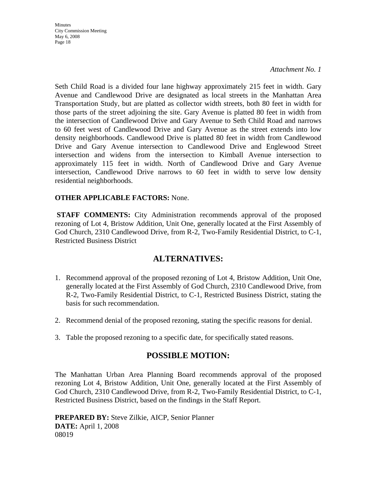*Attachment No. 1* 

Seth Child Road is a divided four lane highway approximately 215 feet in width. Gary Avenue and Candlewood Drive are designated as local streets in the Manhattan Area Transportation Study, but are platted as collector width streets, both 80 feet in width for those parts of the street adjoining the site. Gary Avenue is platted 80 feet in width from the intersection of Candlewood Drive and Gary Avenue to Seth Child Road and narrows to 60 feet west of Candlewood Drive and Gary Avenue as the street extends into low density neighborhoods. Candlewood Drive is platted 80 feet in width from Candlewood Drive and Gary Avenue intersection to Candlewood Drive and Englewood Street intersection and widens from the intersection to Kimball Avenue intersection to approximately 115 feet in width. North of Candlewood Drive and Gary Avenue intersection, Candlewood Drive narrows to 60 feet in width to serve low density residential neighborhoods.

#### **OTHER APPLICABLE FACTORS:** None.

**STAFF COMMENTS:** City Administration recommends approval of the proposed rezoning of Lot 4, Bristow Addition, Unit One, generally located at the First Assembly of God Church, 2310 Candlewood Drive, from R-2, Two-Family Residential District, to C-1, Restricted Business District

## **ALTERNATIVES:**

- 1. Recommend approval of the proposed rezoning of Lot 4, Bristow Addition, Unit One, generally located at the First Assembly of God Church, 2310 Candlewood Drive, from R-2, Two-Family Residential District, to C-1, Restricted Business District, stating the basis for such recommendation.
- 2. Recommend denial of the proposed rezoning, stating the specific reasons for denial.
- 3. Table the proposed rezoning to a specific date, for specifically stated reasons.

## **POSSIBLE MOTION:**

The Manhattan Urban Area Planning Board recommends approval of the proposed rezoning Lot 4, Bristow Addition, Unit One, generally located at the First Assembly of God Church, 2310 Candlewood Drive, from R-2, Two-Family Residential District, to C-1, Restricted Business District, based on the findings in the Staff Report.

**PREPARED BY:** Steve Zilkie, AICP, Senior Planner **DATE:** April 1, 2008 08019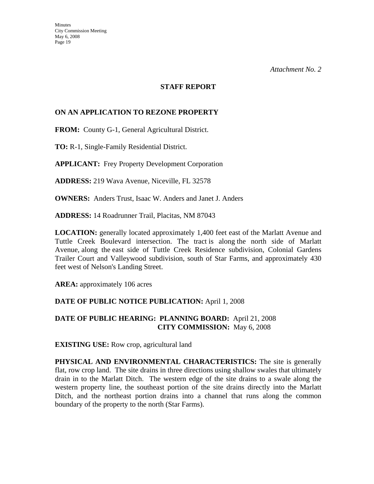#### **STAFF REPORT**

#### **ON AN APPLICATION TO REZONE PROPERTY**

**FROM:** County G-1, General Agricultural District.

**TO:** R-1, Single-Family Residential District.

**APPLICANT:** Frey Property Development Corporation

**ADDRESS:** 219 Wava Avenue, Niceville, FL 32578

**OWNERS:** Anders Trust, Isaac W. Anders and Janet J. Anders

**ADDRESS:** 14 Roadrunner Trail, Placitas, NM 87043

**LOCATION:** generally located approximately 1,400 feet east of the Marlatt Avenue and Tuttle Creek Boulevard intersection. The tract is along the north side of Marlatt Avenue, along the east side of Tuttle Creek Residence subdivision, Colonial Gardens Trailer Court and Valleywood subdivision, south of Star Farms, and approximately 430 feet west of Nelson's Landing Street.

**AREA:** approximately 106 acres

#### **DATE OF PUBLIC NOTICE PUBLICATION:** April 1, 2008

#### **DATE OF PUBLIC HEARING: PLANNING BOARD:** April 21, 2008 **CITY COMMISSION:** May 6, 2008

**EXISTING USE:** Row crop, agricultural land

**PHYSICAL AND ENVIRONMENTAL CHARACTERISTICS:** The site is generally flat, row crop land. The site drains in three directions using shallow swales that ultimately drain in to the Marlatt Ditch. The western edge of the site drains to a swale along the western property line, the southeast portion of the site drains directly into the Marlatt Ditch, and the northeast portion drains into a channel that runs along the common boundary of the property to the north (Star Farms).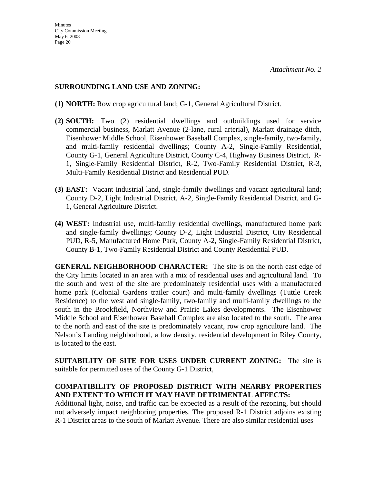#### **SURROUNDING LAND USE AND ZONING:**

- **(1) NORTH:** Row crop agricultural land; G-1, General Agricultural District.
- **(2) SOUTH:** Two (2) residential dwellings and outbuildings used for service commercial business, Marlatt Avenue (2-lane, rural arterial), Marlatt drainage ditch, Eisenhower Middle School, Eisenhower Baseball Complex, single-family, two-family, and multi-family residential dwellings; County A-2, Single-Family Residential, County G-1, General Agriculture District, County C-4, Highway Business District, R-1, Single-Family Residential District, R-2, Two-Family Residential District, R-3, Multi-Family Residential District and Residential PUD.
- **(3) EAST:** Vacant industrial land, single-family dwellings and vacant agricultural land; County D-2, Light Industrial District, A-2, Single-Family Residential District, and G-1, General Agriculture District.
- **(4) WEST:** Industrial use, multi-family residential dwellings, manufactured home park and single-family dwellings; County D-2, Light Industrial District, City Residential PUD, R-5, Manufactured Home Park, County A-2, Single-Family Residential District, County B-1, Two-Family Residential District and County Residential PUD.

**GENERAL NEIGHBORHOOD CHARACTER:** The site is on the north east edge of the City limits located in an area with a mix of residential uses and agricultural land. To the south and west of the site are predominately residential uses with a manufactured home park (Colonial Gardens trailer court) and multi-family dwellings (Tuttle Creek Residence) to the west and single-family, two-family and multi-family dwellings to the south in the Brookfield, Northview and Prairie Lakes developments. The Eisenhower Middle School and Eisenhower Baseball Complex are also located to the south. The area to the north and east of the site is predominately vacant, row crop agriculture land. The Nelson's Landing neighborhood, a low density, residential development in Riley County, is located to the east.

**SUITABILITY OF SITE FOR USES UNDER CURRENT ZONING:** The site is suitable for permitted uses of the County G-1 District,

### **COMPATIBILITY OF PROPOSED DISTRICT WITH NEARBY PROPERTIES AND EXTENT TO WHICH IT MAY HAVE DETRIMENTAL AFFECTS:**

Additional light, noise, and traffic can be expected as a result of the rezoning, but should not adversely impact neighboring properties. The proposed R-1 District adjoins existing R-1 District areas to the south of Marlatt Avenue. There are also similar residential uses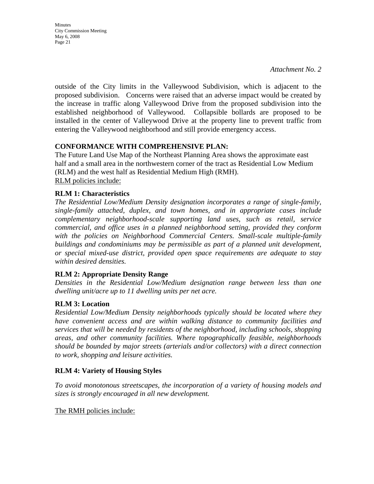**Minutes** City Commission Meeting May 6, 2008 Page 21

outside of the City limits in the Valleywood Subdivision, which is adjacent to the proposed subdivision. Concerns were raised that an adverse impact would be created by the increase in traffic along Valleywood Drive from the proposed subdivision into the established neighborhood of Valleywood. Collapsible bollards are proposed to be installed in the center of Valleywood Drive at the property line to prevent traffic from entering the Valleywood neighborhood and still provide emergency access.

### **CONFORMANCE WITH COMPREHENSIVE PLAN:**

The Future Land Use Map of the Northeast Planning Area shows the approximate east half and a small area in the northwestern corner of the tract as Residential Low Medium (RLM) and the west half as Residential Medium High (RMH). RLM policies include:

#### **RLM 1: Characteristics**

*The Residential Low/Medium Density designation incorporates a range of single-family, single-family attached, duplex, and town homes, and in appropriate cases include complementary neighborhood-scale supporting land uses, such as retail, service commercial, and office uses in a planned neighborhood setting, provided they conform*  with the policies on Neighborhood Commercial Centers. Small-scale multiple-family *buildings and condominiums may be permissible as part of a planned unit development, or special mixed-use district, provided open space requirements are adequate to stay within desired densities.* 

#### **RLM 2: Appropriate Density Range**

*Densities in the Residential Low/Medium designation range between less than one dwelling unit/acre up to 11 dwelling units per net acre.* 

#### **RLM 3: Location**

*Residential Low/Medium Density neighborhoods typically should be located where they have convenient access and are within walking distance to community facilities and services that will be needed by residents of the neighborhood, including schools, shopping areas, and other community facilities. Where topographically feasible, neighborhoods should be bounded by major streets (arterials and/or collectors) with a direct connection to work, shopping and leisure activities.* 

#### **RLM 4: Variety of Housing Styles**

*To avoid monotonous streetscapes, the incorporation of a variety of housing models and sizes is strongly encouraged in all new development.* 

The RMH policies include: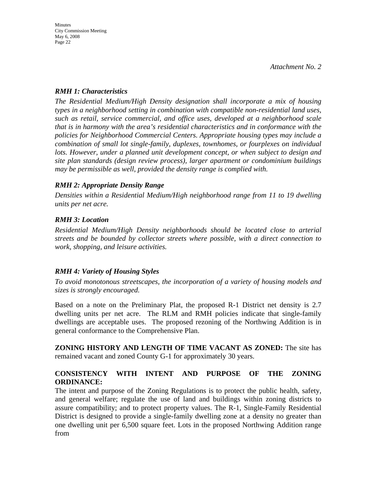#### *RMH 1: Characteristics*

*The Residential Medium/High Density designation shall incorporate a mix of housing types in a neighborhood setting in combination with compatible non-residential land uses, such as retail, service commercial, and office uses, developed at a neighborhood scale that is in harmony with the area's residential characteristics and in conformance with the policies for Neighborhood Commercial Centers. Appropriate housing types may include a combination of small lot single-family, duplexes, townhomes, or fourplexes on individual lots. However, under a planned unit development concept, or when subject to design and site plan standards (design review process), larger apartment or condominium buildings may be permissible as well, provided the density range is complied with.* 

### *RMH 2: Appropriate Density Range*

*Densities within a Residential Medium/High neighborhood range from 11 to 19 dwelling units per net acre.* 

### *RMH 3: Location*

*Residential Medium/High Density neighborhoods should be located close to arterial streets and be bounded by collector streets where possible, with a direct connection to work, shopping, and leisure activities.* 

## *RMH 4: Variety of Housing Styles*

*To avoid monotonous streetscapes, the incorporation of a variety of housing models and sizes is strongly encouraged.* 

Based on a note on the Preliminary Plat, the proposed R-1 District net density is 2.7 dwelling units per net acre. The RLM and RMH policies indicate that single-family dwellings are acceptable uses. The proposed rezoning of the Northwing Addition is in general conformance to the Comprehensive Plan.

**ZONING HISTORY AND LENGTH OF TIME VACANT AS ZONED:** The site has remained vacant and zoned County G-1 for approximately 30 years.

## **CONSISTENCY WITH INTENT AND PURPOSE OF THE ZONING ORDINANCE:**

The intent and purpose of the Zoning Regulations is to protect the public health, safety, and general welfare; regulate the use of land and buildings within zoning districts to assure compatibility; and to protect property values. The R-1, Single-Family Residential District is designed to provide a single-family dwelling zone at a density no greater than one dwelling unit per 6,500 square feet. Lots in the proposed Northwing Addition range from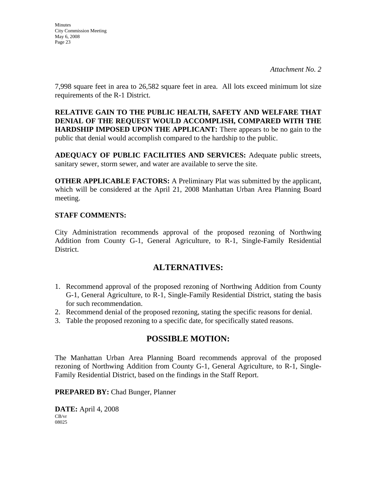*Attachment No. 2* 

7,998 square feet in area to 26,582 square feet in area. All lots exceed minimum lot size requirements of the R-1 District.

**RELATIVE GAIN TO THE PUBLIC HEALTH, SAFETY AND WELFARE THAT DENIAL OF THE REQUEST WOULD ACCOMPLISH, COMPARED WITH THE HARDSHIP IMPOSED UPON THE APPLICANT:** There appears to be no gain to the public that denial would accomplish compared to the hardship to the public.

**ADEQUACY OF PUBLIC FACILITIES AND SERVICES:** Adequate public streets, sanitary sewer, storm sewer, and water are available to serve the site.

**OTHER APPLICABLE FACTORS:** A Preliminary Plat was submitted by the applicant, which will be considered at the April 21, 2008 Manhattan Urban Area Planning Board meeting.

#### **STAFF COMMENTS:**

City Administration recommends approval of the proposed rezoning of Northwing Addition from County G-1, General Agriculture, to R-1, Single-Family Residential District.

## **ALTERNATIVES:**

- 1. Recommend approval of the proposed rezoning of Northwing Addition from County G-1, General Agriculture, to R-1, Single-Family Residential District, stating the basis for such recommendation.
- 2. Recommend denial of the proposed rezoning, stating the specific reasons for denial.
- 3. Table the proposed rezoning to a specific date, for specifically stated reasons.

## **POSSIBLE MOTION:**

The Manhattan Urban Area Planning Board recommends approval of the proposed rezoning of Northwing Addition from County G-1, General Agriculture, to R-1, Single-Family Residential District, based on the findings in the Staff Report.

**PREPARED BY:** Chad Bunger, Planner

**DATE:** April 4, 2008 CB/vr 08025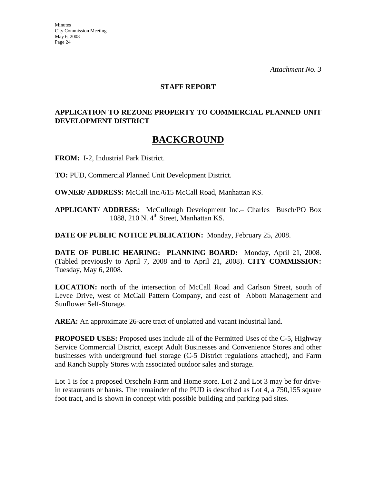#### **STAFF REPORT**

### **APPLICATION TO REZONE PROPERTY TO COMMERCIAL PLANNED UNIT DEVELOPMENT DISTRICT**

## **BACKGROUND**

**FROM:** I-2, Industrial Park District.

**TO:** PUD, Commercial Planned Unit Development District.

**OWNER/ ADDRESS:** McCall Inc./615 McCall Road, Manhattan KS.

**APPLICANT/ ADDRESS:** McCullough Development Inc.– Charles Busch/PO Box 1088, 210 N.  $4<sup>th</sup>$  Street, Manhattan KS.

**DATE OF PUBLIC NOTICE PUBLICATION:** Monday, February 25, 2008.

**DATE OF PUBLIC HEARING: PLANNING BOARD:** Monday, April 21, 2008. (Tabled previously to April 7, 2008 and to April 21, 2008). **CITY COMMISSION:** Tuesday, May 6, 2008.

**LOCATION:** north of the intersection of McCall Road and Carlson Street, south of Levee Drive, west of McCall Pattern Company, and east of Abbott Management and Sunflower Self-Storage.

**AREA:** An approximate 26-acre tract of unplatted and vacant industrial land.

**PROPOSED USES:** Proposed uses include all of the Permitted Uses of the C-5, Highway Service Commercial District, except Adult Businesses and Convenience Stores and other businesses with underground fuel storage (C-5 District regulations attached), and Farm and Ranch Supply Stores with associated outdoor sales and storage.

Lot 1 is for a proposed Orscheln Farm and Home store. Lot 2 and Lot 3 may be for drivein restaurants or banks. The remainder of the PUD is described as Lot 4, a 750,155 square foot tract, and is shown in concept with possible building and parking pad sites.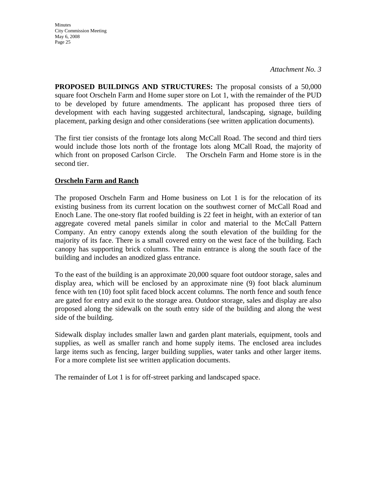**Minutes** City Commission Meeting May 6, 2008 Page 25

**PROPOSED BUILDINGS AND STRUCTURES:** The proposal consists of a 50,000 square foot Orscheln Farm and Home super store on Lot 1, with the remainder of the PUD to be developed by future amendments. The applicant has proposed three tiers of development with each having suggested architectural, landscaping, signage, building placement, parking design and other considerations (see written application documents).

The first tier consists of the frontage lots along McCall Road. The second and third tiers would include those lots north of the frontage lots along MCall Road, the majority of which front on proposed Carlson Circle. The Orscheln Farm and Home store is in the second tier.

### **Orscheln Farm and Ranch**

The proposed Orscheln Farm and Home business on Lot 1 is for the relocation of its existing business from its current location on the southwest corner of McCall Road and Enoch Lane. The one-story flat roofed building is 22 feet in height, with an exterior of tan aggregate covered metal panels similar in color and material to the McCall Pattern Company. An entry canopy extends along the south elevation of the building for the majority of its face. There is a small covered entry on the west face of the building. Each canopy has supporting brick columns. The main entrance is along the south face of the building and includes an anodized glass entrance.

To the east of the building is an approximate 20,000 square foot outdoor storage, sales and display area, which will be enclosed by an approximate nine (9) foot black aluminum fence with ten (10) foot split faced block accent columns. The north fence and south fence are gated for entry and exit to the storage area. Outdoor storage, sales and display are also proposed along the sidewalk on the south entry side of the building and along the west side of the building.

Sidewalk display includes smaller lawn and garden plant materials, equipment, tools and supplies, as well as smaller ranch and home supply items. The enclosed area includes large items such as fencing, larger building supplies, water tanks and other larger items. For a more complete list see written application documents.

The remainder of Lot 1 is for off-street parking and landscaped space.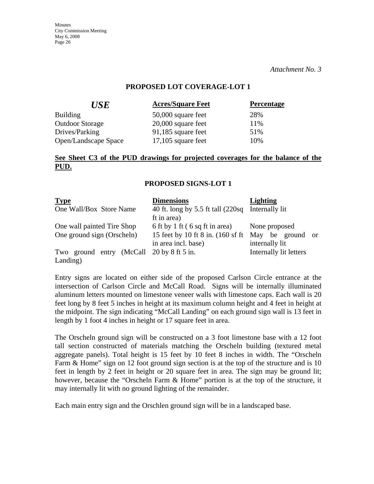*Attachment No. 3* 

#### **PROPOSED LOT COVERAGE-LOT 1**

| <b>Acres/Square Feet</b> | <b>Percentage</b> |
|--------------------------|-------------------|
| 50,000 square feet       | 28%               |
| $20,000$ square feet     | 11%               |
| 91,185 square feet       | 51%               |
| $17,105$ square feet     | 10%               |
|                          |                   |

#### **See Sheet C3 of the PUD drawings for projected coverages for the balance of the PUD.**

#### **PROPOSED SIGNS-LOT 1**

| <b>Type</b>                                              | <b>Dimensions</b>                                                                           | <b>Lighting</b>                                     |
|----------------------------------------------------------|---------------------------------------------------------------------------------------------|-----------------------------------------------------|
| One Wall/Box Store Name                                  | 40 ft. long by 5.5 ft tall (220sq Internally lit<br>ft in area)                             |                                                     |
| One wall painted Tire Shop<br>One ground sign (Orscheln) | 6 ft by 1 ft (6 sq ft in area)<br>15 feet by 10 ft 8 in. (160 sf ft)<br>in area incl. base) | None proposed<br>May be ground or<br>internally lit |
| Two ground entry (McCall 20 by 8 ft 5 in.<br>Landing)    |                                                                                             | Internally lit letters                              |

Entry signs are located on either side of the proposed Carlson Circle entrance at the intersection of Carlson Circle and McCall Road. Signs will be internally illuminated aluminum letters mounted on limestone veneer walls with limestone caps. Each wall is 20 feet long by 8 feet 5 inches in height at its maximum column height and 4 feet in height at the midpoint. The sign indicating "McCall Landing" on each ground sign wall is 13 feet in length by 1 foot 4 inches in height or 17 square feet in area.

The Orscheln ground sign will be constructed on a 3 foot limestone base with a 12 foot tall section constructed of materials matching the Orscheln building (textured metal aggregate panels). Total height is 15 feet by 10 feet 8 inches in width. The "Orscheln Farm & Home" sign on 12 foot ground sign section is at the top of the structure and is 10 feet in length by 2 feet in height or 20 square feet in area. The sign may be ground lit; however, because the "Orscheln Farm & Home" portion is at the top of the structure, it may internally lit with no ground lighting of the remainder.

Each main entry sign and the Orschlen ground sign will be in a landscaped base.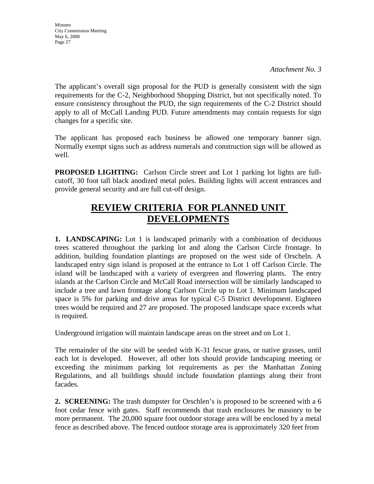*Attachment No. 3* 

The applicant's overall sign proposal for the PUD is generally consistent with the sign requirements for the C-2, Neighborhood Shopping District, but not specifically noted. To ensure consistency throughout the PUD, the sign requirements of the C-2 District should apply to all of McCall Landing PUD. Future amendments may contain requests for sign changes for a specific site.

The applicant has proposed each business be allowed one temporary banner sign. Normally exempt signs such as address numerals and construction sign will be allowed as well.

**PROPOSED LIGHTING:** Carlson Circle street and Lot 1 parking lot lights are fullcutoff, 30 foot tall black anodized metal poles. Building lights will accent entrances and provide general security and are full cut-off design.

# **REVIEW CRITERIA FOR PLANNED UNIT DEVELOPMENTS**

**1. LANDSCAPING:** Lot 1 is landscaped primarily with a combination of deciduous trees scattered throughout the parking lot and along the Carlson Circle frontage. In addition, building foundation plantings are proposed on the west side of Orscheln. A landscaped entry sign island is proposed at the entrance to Lot 1 off Carlson Circle. The island will be landscaped with a variety of evergreen and flowering plants. The entry islands at the Carlson Circle and McCall Road intersection will be similarly landscaped to include a tree and lawn frontage along Carlson Circle up to Lot 1. Minimum landscaped space is 5% for parking and drive areas for typical C-5 District development. Eighteen trees would be required and 27 are proposed. The proposed landscape space exceeds what is required.

Underground irrigation will maintain landscape areas on the street and on Lot 1.

The remainder of the site will be seeded with K-31 fescue grass, or native grasses, until each lot is developed. However, all other lots should provide landscaping meeting or exceeding the minimum parking lot requirements as per the Manhattan Zoning Regulations, and all buildings should include foundation plantings along their front facades.

**2. SCREENING:** The trash dumpster for Orschlen's is proposed to be screened with a 6 foot cedar fence with gates. Staff recommends that trash enclosures be masonry to be more permanent. The 20,000 square foot outdoor storage area will be enclosed by a metal fence as described above. The fenced outdoor storage area is approximately 320 feet from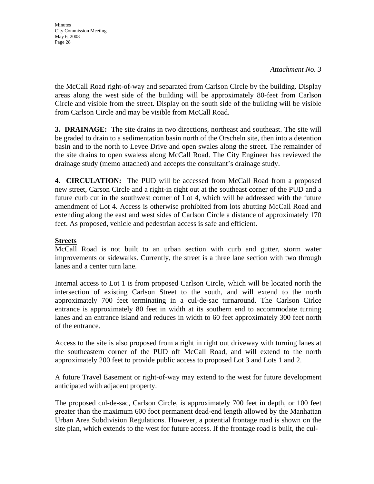**Minutes** City Commission Meeting May 6, 2008 Page 28

the McCall Road right-of-way and separated from Carlson Circle by the building. Display areas along the west side of the building will be approximately 80-feet from Carlson Circle and visible from the street. Display on the south side of the building will be visible from Carlson Circle and may be visible from McCall Road.

**3. DRAINAGE:** The site drains in two directions, northeast and southeast. The site will be graded to drain to a sedimentation basin north of the Orscheln site, then into a detention basin and to the north to Levee Drive and open swales along the street. The remainder of the site drains to open swaless along McCall Road. The City Engineer has reviewed the drainage study (memo attached) and accepts the consultant's drainage study.

**4. CIRCULATION:** The PUD will be accessed from McCall Road from a proposed new street, Carson Circle and a right-in right out at the southeast corner of the PUD and a future curb cut in the southwest corner of Lot 4, which will be addressed with the future amendment of Lot 4. Access is otherwise prohibited from lots abutting McCall Road and extending along the east and west sides of Carlson Circle a distance of approximately 170 feet. As proposed, vehicle and pedestrian access is safe and efficient.

#### **Streets**

McCall Road is not built to an urban section with curb and gutter, storm water improvements or sidewalks. Currently, the street is a three lane section with two through lanes and a center turn lane.

Internal access to Lot 1 is from proposed Carlson Circle, which will be located north the intersection of existing Carlson Street to the south, and will extend to the north approximately 700 feet terminating in a cul-de-sac turnaround. The Carlson Cirlce entrance is approximately 80 feet in width at its southern end to accommodate turning lanes and an entrance island and reduces in width to 60 feet approximately 300 feet north of the entrance.

Access to the site is also proposed from a right in right out driveway with turning lanes at the southeastern corner of the PUD off McCall Road, and will extend to the north approximately 200 feet to provide public access to proposed Lot 3 and Lots 1 and 2.

A future Travel Easement or right-of-way may extend to the west for future development anticipated with adjacent property.

The proposed cul-de-sac, Carlson Circle, is approximately 700 feet in depth, or 100 feet greater than the maximum 600 foot permanent dead-end length allowed by the Manhattan Urban Area Subdivision Regulations. However, a potential frontage road is shown on the site plan, which extends to the west for future access. If the frontage road is built, the cul-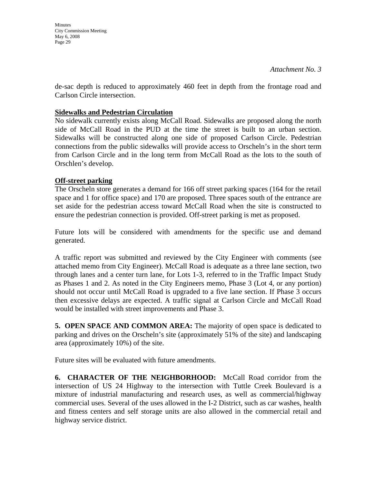**Minutes** City Commission Meeting May 6, 2008 Page 29

de-sac depth is reduced to approximately 460 feet in depth from the frontage road and Carlson Circle intersection.

#### **Sidewalks and Pedestrian Circulation**

No sidewalk currently exists along McCall Road. Sidewalks are proposed along the north side of McCall Road in the PUD at the time the street is built to an urban section. Sidewalks will be constructed along one side of proposed Carlson Circle. Pedestrian connections from the public sidewalks will provide access to Orscheln's in the short term from Carlson Circle and in the long term from McCall Road as the lots to the south of Orschlen's develop.

### **Off-street parking**

The Orscheln store generates a demand for 166 off street parking spaces (164 for the retail space and 1 for office space) and 170 are proposed. Three spaces south of the entrance are set aside for the pedestrian access toward McCall Road when the site is constructed to ensure the pedestrian connection is provided. Off-street parking is met as proposed.

Future lots will be considered with amendments for the specific use and demand generated.

A traffic report was submitted and reviewed by the City Engineer with comments (see attached memo from City Engineer). McCall Road is adequate as a three lane section, two through lanes and a center turn lane, for Lots 1-3, referred to in the Traffic Impact Study as Phases 1 and 2. As noted in the City Engineers memo, Phase 3 (Lot 4, or any portion) should not occur until McCall Road is upgraded to a five lane section. If Phase 3 occurs then excessive delays are expected. A traffic signal at Carlson Circle and McCall Road would be installed with street improvements and Phase 3.

**5. OPEN SPACE AND COMMON AREA:** The majority of open space is dedicated to parking and drives on the Orscheln's site (approximately 51% of the site) and landscaping area (approximately 10%) of the site.

Future sites will be evaluated with future amendments.

**6. CHARACTER OF THE NEIGHBORHOOD:** McCall Road corridor from the intersection of US 24 Highway to the intersection with Tuttle Creek Boulevard is a mixture of industrial manufacturing and research uses, as well as commercial/highway commercial uses. Several of the uses allowed in the I-2 District, such as car washes, health and fitness centers and self storage units are also allowed in the commercial retail and highway service district.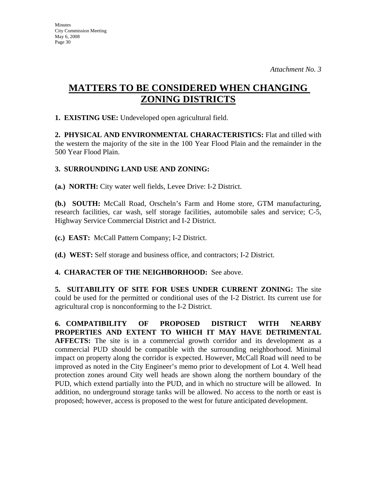# **MATTERS TO BE CONSIDERED WHEN CHANGING ZONING DISTRICTS**

**1. EXISTING USE:** Undeveloped open agricultural field.

**2. PHYSICAL AND ENVIRONMENTAL CHARACTERISTICS:** Flat and tilled with the western the majority of the site in the 100 Year Flood Plain and the remainder in the 500 Year Flood Plain.

### **3. SURROUNDING LAND USE AND ZONING:**

**(a.) NORTH:** City water well fields, Levee Drive: I-2 District.

**(b.) SOUTH:** McCall Road, Orscheln's Farm and Home store, GTM manufacturing, research facilities, car wash, self storage facilities, automobile sales and service; C-5, Highway Service Commercial District and I-2 District.

**(c.) EAST:** McCall Pattern Company; I-2 District.

**(d.) WEST:** Self storage and business office, and contractors; I-2 District.

#### **4. CHARACTER OF THE NEIGHBORHOOD:** See above.

**5. SUITABILITY OF SITE FOR USES UNDER CURRENT ZONING:** The site could be used for the permitted or conditional uses of the I-2 District. Its current use for agricultural crop is nonconforming to the I-2 District.

**6. COMPATIBILITY OF PROPOSED DISTRICT WITH NEARBY PROPERTIES AND EXTENT TO WHICH IT MAY HAVE DETRIMENTAL AFFECTS:** The site is in a commercial growth corridor and its development as a commercial PUD should be compatible with the surrounding neighborhood. Minimal impact on property along the corridor is expected. However, McCall Road will need to be improved as noted in the City Engineer's memo prior to development of Lot 4. Well head protection zones around City well heads are shown along the northern boundary of the PUD, which extend partially into the PUD, and in which no structure will be allowed. In addition, no underground storage tanks will be allowed. No access to the north or east is proposed; however, access is proposed to the west for future anticipated development.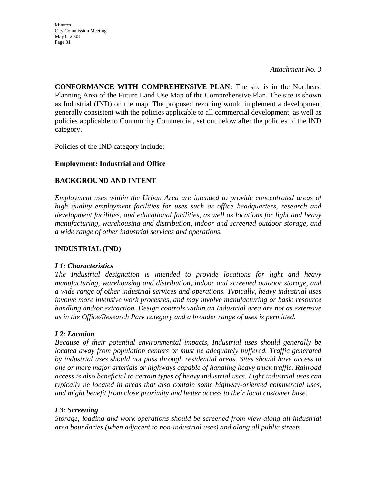*Attachment No. 3* 

**CONFORMANCE WITH COMPREHENSIVE PLAN:** The site is in the Northeast Planning Area of the Future Land Use Map of the Comprehensive Plan. The site is shown as Industrial (IND) on the map. The proposed rezoning would implement a development generally consistent with the policies applicable to all commercial development, as well as policies applicable to Community Commercial, set out below after the policies of the IND category.

Policies of the IND category include:

## **Employment: Industrial and Office**

## **BACKGROUND AND INTENT**

*Employment uses within the Urban Area are intended to provide concentrated areas of high quality employment facilities for uses such as office headquarters, research and development facilities, and educational facilities, as well as locations for light and heavy manufacturing, warehousing and distribution, indoor and screened outdoor storage, and a wide range of other industrial services and operations.* 

## **INDUSTRIAL (IND)**

#### *I 1: Characteristics*

*The Industrial designation is intended to provide locations for light and heavy manufacturing, warehousing and distribution, indoor and screened outdoor storage, and a wide range of other industrial services and operations. Typically, heavy industrial uses involve more intensive work processes, and may involve manufacturing or basic resource handling and/or extraction. Design controls within an Industrial area are not as extensive as in the Office/Research Park category and a broader range of uses is permitted.* 

## *I 2: Location*

*Because of their potential environmental impacts, Industrial uses should generally be located away from population centers or must be adequately buffered. Traffic generated by industrial uses should not pass through residential areas. Sites should have access to one or more major arterials or highways capable of handling heavy truck traffic. Railroad access is also beneficial to certain types of heavy industrial uses. Light industrial uses can typically be located in areas that also contain some highway-oriented commercial uses, and might benefit from close proximity and better access to their local customer base.* 

## *I 3: Screening*

*Storage, loading and work operations should be screened from view along all industrial area boundaries (when adjacent to non-industrial uses) and along all public streets.*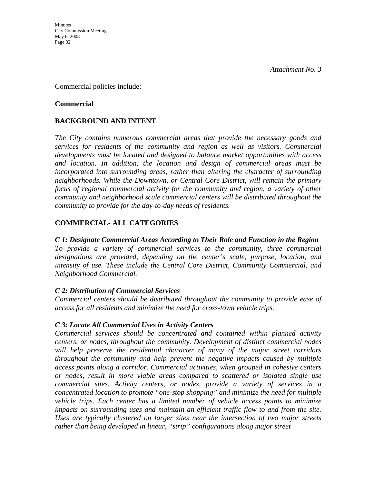Commercial policies include:

#### **Commercial**

### **BACKGROUND AND INTENT**

*The City contains numerous commercial areas that provide the necessary goods and services for residents of the community and region as well as visitors. Commercial developments must be located and designed to balance market opportunities with access and location. In addition, the location and design of commercial areas must be incorporated into surrounding areas, rather than altering the character of surrounding neighborhoods. While the Downtown, or Central Core District, will remain the primary focus of regional commercial activity for the community and region, a variety of other community and neighborhood scale commercial centers will be distributed throughout the community to provide for the day-to-day needs of residents.* 

### **COMMERCIAL- ALL CATEGORIES**

#### *C 1: Designate Commercial Areas According to Their Role and Function in the Region*

*To provide a variety of commercial services to the community, three commercial designations are provided, depending on the center's scale, purpose, location, and intensity of use. These include the Central Core District, Community Commercial, and Neighborhood Commercial.* 

#### *C 2: Distribution of Commercial Services*

*Commercial centers should be distributed throughout the community to provide ease of access for all residents and minimize the need for cross-town vehicle trips.* 

#### *C 3: Locate All Commercial Uses in Activity Centers*

*Commercial services should be concentrated and contained within planned activity centers, or nodes, throughout the community. Development of distinct commercial nodes will help preserve the residential character of many of the major street corridors throughout the community and help prevent the negative impacts caused by multiple access points along a corridor. Commercial activities, when grouped in cohesive centers or nodes, result in more viable areas compared to scattered or isolated single use commercial sites. Activity centers, or nodes, provide a variety of services in a concentrated location to promote "one-stop shopping" and minimize the need for multiple vehicle trips. Each center has a limited number of vehicle access points to minimize*  impacts on surrounding uses and maintain an efficient traffic flow to and from the site. *Uses are typically clustered on larger sites near the intersection of two major streets rather than being developed in linear, "strip" configurations along major street*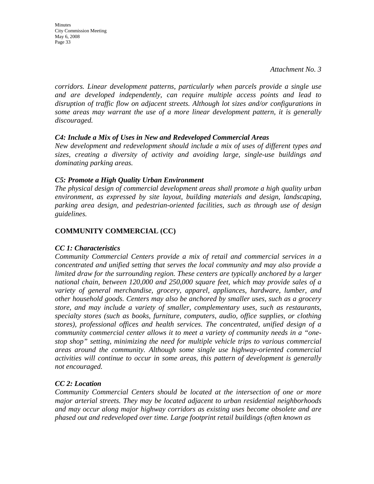Minutes City Commission Meeting May 6, 2008 Page 33

*corridors. Linear development patterns, particularly when parcels provide a single use and are developed independently, can require multiple access points and lead to disruption of traffic flow on adjacent streets. Although lot sizes and/or configurations in some areas may warrant the use of a more linear development pattern, it is generally discouraged.* 

#### *C4: Include a Mix of Uses in New and Redeveloped Commercial Areas*

*New development and redevelopment should include a mix of uses of different types and sizes, creating a diversity of activity and avoiding large, single-use buildings and dominating parking areas.* 

#### *C5: Promote a High Quality Urban Environment*

*The physical design of commercial development areas shall promote a high quality urban environment, as expressed by site layout, building materials and design, landscaping, parking area design, and pedestrian-oriented facilities, such as through use of design guidelines.*

#### **COMMUNITY COMMERCIAL (CC)**

#### *CC 1: Characteristics*

*Community Commercial Centers provide a mix of retail and commercial services in a concentrated and unified setting that serves the local community and may also provide a limited draw for the surrounding region. These centers are typically anchored by a larger national chain, between 120,000 and 250,000 square feet, which may provide sales of a variety of general merchandise, grocery, apparel, appliances, hardware, lumber, and other household goods. Centers may also be anchored by smaller uses, such as a grocery store, and may include a variety of smaller, complementary uses, such as restaurants, specialty stores (such as books, furniture, computers, audio, office supplies, or clothing stores), professional offices and health services. The concentrated, unified design of a community commercial center allows it to meet a variety of community needs in a "onestop shop" setting, minimizing the need for multiple vehicle trips to various commercial areas around the community. Although some single use highway-oriented commercial activities will continue to occur in some areas, this pattern of development is generally not encouraged.* 

#### *CC 2: Location*

*Community Commercial Centers should be located at the intersection of one or more major arterial streets. They may be located adjacent to urban residential neighborhoods and may occur along major highway corridors as existing uses become obsolete and are phased out and redeveloped over time. Large footprint retail buildings (often known as*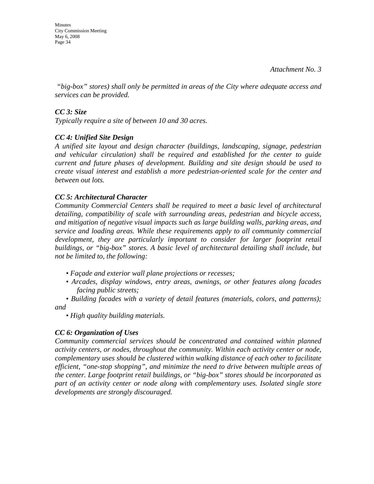Minutes City Commission Meeting May 6, 2008 Page 34

 *"big-box" stores) shall only be permitted in areas of the City where adequate access and services can be provided.* 

#### *CC 3: Size*

*Typically require a site of between 10 and 30 acres.* 

#### *CC 4: Unified Site Design*

*A unified site layout and design character (buildings, landscaping, signage, pedestrian and vehicular circulation) shall be required and established for the center to guide current and future phases of development. Building and site design should be used to create visual interest and establish a more pedestrian-oriented scale for the center and between out lots.* 

#### *CC 5: Architectural Character*

*Community Commercial Centers shall be required to meet a basic level of architectural detailing, compatibility of scale with surrounding areas, pedestrian and bicycle access, and mitigation of negative visual impacts such as large building walls, parking areas, and service and loading areas. While these requirements apply to all community commercial development, they are particularly important to consider for larger footprint retail buildings, or "big-box" stores. A basic level of architectural detailing shall include, but not be limited to, the following:* 

- *Façade and exterior wall plane projections or recesses;*
- *Arcades, display windows, entry areas, awnings, or other features along facades facing public streets;*

*• Building facades with a variety of detail features (materials, colors, and patterns); and* 

*• High quality building materials.* 

#### *CC 6: Organization of Uses*

*Community commercial services should be concentrated and contained within planned activity centers, or nodes, throughout the community. Within each activity center or node, complementary uses should be clustered within walking distance of each other to facilitate efficient, "one-stop shopping", and minimize the need to drive between multiple areas of the center. Large footprint retail buildings, or "big-box" stores should be incorporated as part of an activity center or node along with complementary uses. Isolated single store developments are strongly discouraged.*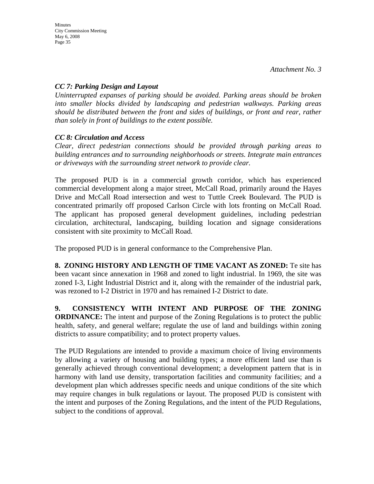#### *CC 7: Parking Design and Layout*

*Uninterrupted expanses of parking should be avoided. Parking areas should be broken into smaller blocks divided by landscaping and pedestrian walkways. Parking areas should be distributed between the front and sides of buildings, or front and rear, rather than solely in front of buildings to the extent possible.* 

### *CC 8: Circulation and Access*

*Clear, direct pedestrian connections should be provided through parking areas to building entrances and to surrounding neighborhoods or streets. Integrate main entrances or driveways with the surrounding street network to provide clear.* 

The proposed PUD is in a commercial growth corridor, which has experienced commercial development along a major street, McCall Road, primarily around the Hayes Drive and McCall Road intersection and west to Tuttle Creek Boulevard. The PUD is concentrated primarily off proposed Carlson Circle with lots fronting on McCall Road. The applicant has proposed general development guidelines, including pedestrian circulation, architectural, landscaping, building location and signage considerations consistent with site proximity to McCall Road.

The proposed PUD is in general conformance to the Comprehensive Plan.

**8. ZONING HISTORY AND LENGTH OF TIME VACANT AS ZONED:** Te site has been vacant since annexation in 1968 and zoned to light industrial. In 1969, the site was zoned I-3, Light Industrial District and it, along with the remainder of the industrial park, was rezoned to I-2 District in 1970 and has remained I-2 District to date.

**9. CONSISTENCY WITH INTENT AND PURPOSE OF THE ZONING ORDINANCE:** The intent and purpose of the Zoning Regulations is to protect the public health, safety, and general welfare; regulate the use of land and buildings within zoning districts to assure compatibility; and to protect property values.

The PUD Regulations are intended to provide a maximum choice of living environments by allowing a variety of housing and building types; a more efficient land use than is generally achieved through conventional development; a development pattern that is in harmony with land use density, transportation facilities and community facilities; and a development plan which addresses specific needs and unique conditions of the site which may require changes in bulk regulations or layout. The proposed PUD is consistent with the intent and purposes of the Zoning Regulations, and the intent of the PUD Regulations, subject to the conditions of approval.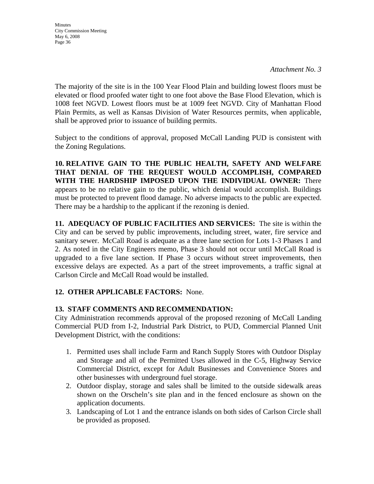The majority of the site is in the 100 Year Flood Plain and building lowest floors must be elevated or flood proofed water tight to one foot above the Base Flood Elevation, which is 1008 feet NGVD. Lowest floors must be at 1009 feet NGVD. City of Manhattan Flood Plain Permits, as well as Kansas Division of Water Resources permits, when applicable, shall be approved prior to issuance of building permits.

Subject to the conditions of approval, proposed McCall Landing PUD is consistent with the Zoning Regulations.

**10. RELATIVE GAIN TO THE PUBLIC HEALTH, SAFETY AND WELFARE THAT DENIAL OF THE REQUEST WOULD ACCOMPLISH, COMPARED WITH THE HARDSHIP IMPOSED UPON THE INDIVIDUAL OWNER:** There appears to be no relative gain to the public, which denial would accomplish. Buildings must be protected to prevent flood damage. No adverse impacts to the public are expected. There may be a hardship to the applicant if the rezoning is denied.

**11. ADEQUACY OF PUBLIC FACILITIES AND SERVICES:** The site is within the City and can be served by public improvements, including street, water, fire service and sanitary sewer. McCall Road is adequate as a three lane section for Lots 1-3 Phases 1 and 2. As noted in the City Engineers memo, Phase 3 should not occur until McCall Road is upgraded to a five lane section. If Phase 3 occurs without street improvements, then excessive delays are expected. As a part of the street improvements, a traffic signal at Carlson Circle and McCall Road would be installed.

## **12. OTHER APPLICABLE FACTORS:** None.

## **13. STAFF COMMENTS AND RECOMMENDATION:**

City Administration recommends approval of the proposed rezoning of McCall Landing Commercial PUD from I-2, Industrial Park District, to PUD, Commercial Planned Unit Development District, with the conditions:

- 1. Permitted uses shall include Farm and Ranch Supply Stores with Outdoor Display and Storage and all of the Permitted Uses allowed in the C-5, Highway Service Commercial District, except for Adult Businesses and Convenience Stores and other businesses with underground fuel storage.
- 2. Outdoor display, storage and sales shall be limited to the outside sidewalk areas shown on the Orscheln's site plan and in the fenced enclosure as shown on the application documents.
- 3. Landscaping of Lot 1 and the entrance islands on both sides of Carlson Circle shall be provided as proposed.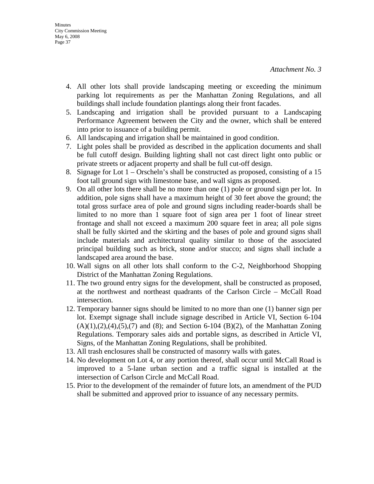- 4. All other lots shall provide landscaping meeting or exceeding the minimum parking lot requirements as per the Manhattan Zoning Regulations, and all buildings shall include foundation plantings along their front facades.
- 5. Landscaping and irrigation shall be provided pursuant to a Landscaping Performance Agreement between the City and the owner, which shall be entered into prior to issuance of a building permit.
- 6. All landscaping and irrigation shall be maintained in good condition.
- 7. Light poles shall be provided as described in the application documents and shall be full cutoff design. Building lighting shall not cast direct light onto public or private streets or adjacent property and shall be full cut-off design.
- 8. Signage for Lot 1 Orscheln's shall be constructed as proposed, consisting of a 15 foot tall ground sign with limestone base, and wall signs as proposed.
- 9. On all other lots there shall be no more than one (1) pole or ground sign per lot. In addition, pole signs shall have a maximum height of 30 feet above the ground; the total gross surface area of pole and ground signs including reader-boards shall be limited to no more than 1 square foot of sign area per 1 foot of linear street frontage and shall not exceed a maximum 200 square feet in area; all pole signs shall be fully skirted and the skirting and the bases of pole and ground signs shall include materials and architectural quality similar to those of the associated principal building such as brick, stone and/or stucco; and signs shall include a landscaped area around the base.
- 10. Wall signs on all other lots shall conform to the C-2, Neighborhood Shopping District of the Manhattan Zoning Regulations.
- 11. The two ground entry signs for the development, shall be constructed as proposed, at the northwest and northeast quadrants of the Carlson Circle – McCall Road intersection.
- 12. Temporary banner signs should be limited to no more than one (1) banner sign per lot. Exempt signage shall include signage described in Article VI, Section 6-104  $(A)(1),(2),(4),(5),(7)$  and  $(8)$ ; and Section 6-104  $(B)(2)$ , of the Manhattan Zoning Regulations. Temporary sales aids and portable signs, as described in Article VI, Signs, of the Manhattan Zoning Regulations, shall be prohibited.
- 13. All trash enclosures shall be constructed of masonry walls with gates.
- 14. No development on Lot 4, or any portion thereof, shall occur until McCall Road is improved to a 5-lane urban section and a traffic signal is installed at the intersection of Carlson Circle and McCall Road.
- 15. Prior to the development of the remainder of future lots, an amendment of the PUD shall be submitted and approved prior to issuance of any necessary permits.